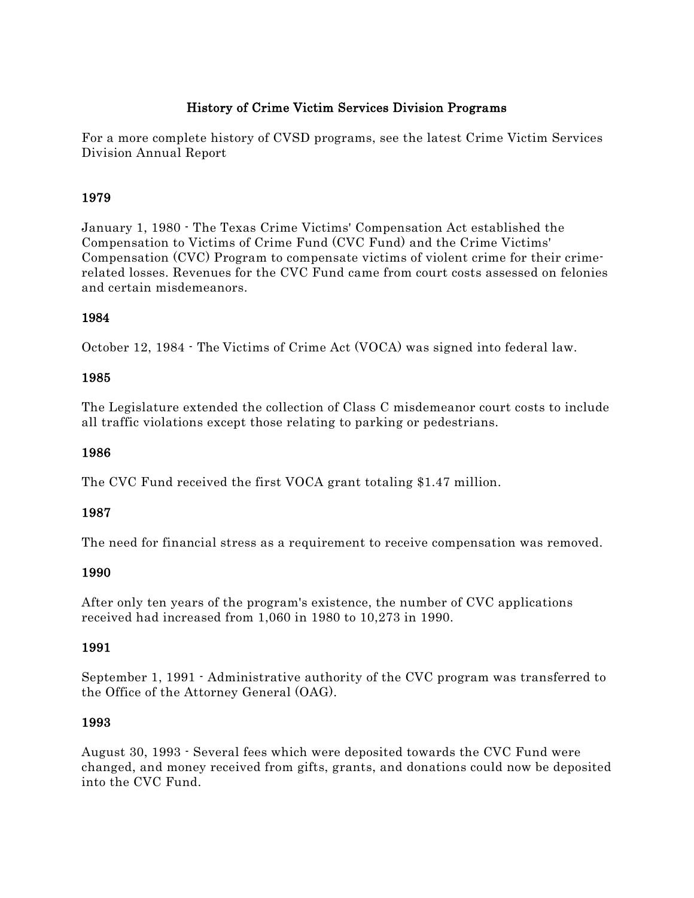## History of Crime Victim Services Division Programs

For a more complete history of CVSD programs, see the latest Crime Victim Services Division Annual Report

## 1979

January 1, 1980 - The Texas Crime Victims' Compensation Act established the Compensation to Victims of Crime Fund (CVC Fund) and the Crime Victims' Compensation (CVC) Program to compensate victims of violent crime for their crimerelated losses. Revenues for the CVC Fund came from court costs assessed on felonies and certain misdemeanors.

## 1984

October 12, 1984 - The Victims of Crime Act (VOCA) was signed into federal law.

## 1985

The Legislature extended the collection of Class C misdemeanor court costs to include all traffic violations except those relating to parking or pedestrians.

## 1986

The CVC Fund received the first VOCA grant totaling \$1.47 million.

## 1987

The need for financial stress as a requirement to receive compensation was removed.

## 1990

After only ten years of the program's existence, the number of CVC applications received had increased from 1,060 in 1980 to 10,273 in 1990.

## 1991

September 1, 1991 - Administrative authority of the CVC program was transferred to the Office of the Attorney General (OAG).

## 1993

August 30, 1993 - Several fees which were deposited towards the CVC Fund were changed, and money received from gifts, grants, and donations could now be deposited into the CVC Fund.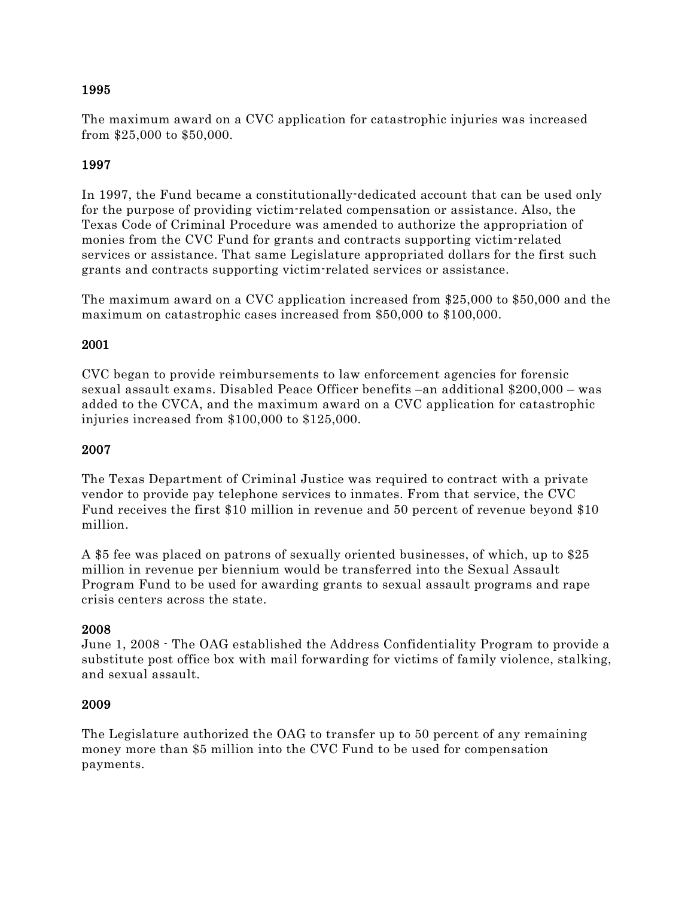## 1995

The maximum award on a CVC application for catastrophic injuries was increased from \$25,000 to \$50,000.

## 1997

In 1997, the Fund became a constitutionally-dedicated account that can be used only for the purpose of providing victim-related compensation or assistance. Also, the Texas Code of Criminal Procedure was amended to authorize the appropriation of monies from the CVC Fund for grants and contracts supporting victim-related services or assistance. That same Legislature appropriated dollars for the first such grants and contracts supporting victim-related services or assistance.

The maximum award on a CVC application increased from \$25,000 to \$50,000 and the maximum on catastrophic cases increased from \$50,000 to \$100,000.

## 2001

CVC began to provide reimbursements to law enforcement agencies for forensic sexual assault exams. Disabled Peace Officer benefits –an additional \$200,000 – was added to the CVCA, and the maximum award on a CVC application for catastrophic injuries increased from \$100,000 to \$125,000.

## 2007

The Texas Department of Criminal Justice was required to contract with a private vendor to provide pay telephone services to inmates. From that service, the CVC Fund receives the first \$10 million in revenue and 50 percent of revenue beyond \$10 million.

A \$5 fee was placed on patrons of sexually oriented businesses, of which, up to \$25 million in revenue per biennium would be transferred into the Sexual Assault Program Fund to be used for awarding grants to sexual assault programs and rape crisis centers across the state.

## 2008

June 1, 2008 - The OAG established the Address Confidentiality Program to provide a substitute post office box with mail forwarding for victims of family violence, stalking, and sexual assault.

## 2009

The Legislature authorized the OAG to transfer up to 50 percent of any remaining money more than \$5 million into the CVC Fund to be used for compensation payments.